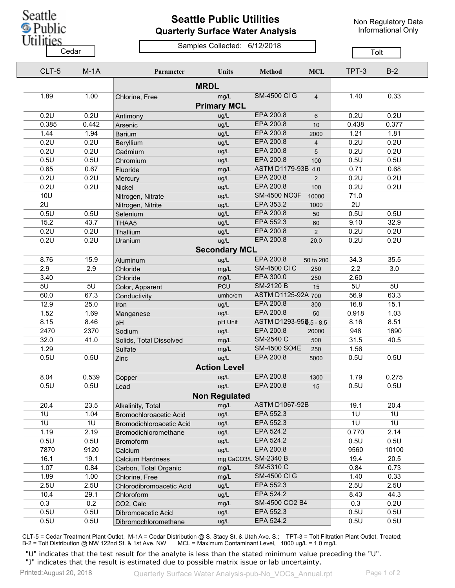

## **Seattle Public Utilities Quarterly Surface Water Analysis**

Non Regulatory Data Informational Only

## Samples Collected: 6/12/2018 Cedar **Cedar** Cedar Compression Contract Contract Contract Contract Contract Contract Contract Contract Contract Contract Contract Contract Contract Contract Contract Contract Contract Contract Contract Contract Contract C

| CLT-5      | $M-1A$ | Parameter                | <b>Units</b>         | <b>Method</b>          | <b>MCL</b>     | TPT-3 | $B-2$ |  |
|------------|--------|--------------------------|----------------------|------------------------|----------------|-------|-------|--|
|            |        |                          | <b>MRDL</b>          |                        |                |       |       |  |
| 1.89       | 1.00   | Chlorine, Free           | mg/L                 | <b>SM-4500 CI G</b>    | $\overline{4}$ | 1.40  | 0.33  |  |
|            |        |                          | <b>Primary MCL</b>   |                        |                |       |       |  |
| 0.2U       | 0.2U   | Antimony                 | ug/L                 | EPA 200.8              | 6              | 0.2U  | 0.2U  |  |
| 0.385      | 0.442  | Arsenic                  | ug/L                 | EPA 200.8              | 10             | 0.438 | 0.377 |  |
| 1.44       | 1.94   | <b>Barium</b>            | ug/L                 | EPA 200.8              | 2000           | 1.21  | 1.81  |  |
| 0.2U       | 0.2U   | Beryllium                | ug/L                 | EPA 200.8              | $\overline{4}$ | 0.2U  | 0.2U  |  |
| 0.2U       | 0.2U   | Cadmium                  | ug/L                 | EPA 200.8              | 5              | 0.2U  | 0.2U  |  |
| 0.5U       | 0.5U   | Chromium                 | ug/L                 | EPA 200.8              | 100            | 0.5U  | 0.5U  |  |
| 0.65       | 0.67   | Fluoride                 | mg/L                 | ASTM D1179-93B 4.0     |                | 0.71  | 0.68  |  |
| 0.2U       | 0.2U   | Mercury                  | ug/L                 | EPA 200.8              | 2              | 0.2U  | 0.2U  |  |
| 0.2U       | 0.2U   | Nickel                   | ug/L                 | EPA 200.8              | 100            | 0.2U  | 0.2U  |  |
| <b>10U</b> |        | Nitrogen, Nitrate        | ug/L                 | <b>SM-4500 NO3F</b>    | 10000          | 71.0  |       |  |
| 2U         |        | Nitrogen, Nitrite        | ug/L                 | EPA 353.2              | 1000           | 2U    |       |  |
| 0.5U       | 0.5U   | Selenium                 | ug/L                 | EPA 200.8              | 50             | 0.5U  | 0.5U  |  |
| 15.2       | 43.7   | THAA5                    | ug/L                 | EPA 552.3              | 60             | 9.10  | 32.9  |  |
| 0.2U       | 0.2U   | Thallium                 | ug/L                 | EPA 200.8              | 2              | 0.2U  | 0.2U  |  |
| 0.2U       | 0.2U   | Uranium                  | ug/L                 | EPA 200.8              | 20.0           | 0.2U  | 0.2U  |  |
|            |        |                          | <b>Secondary MCL</b> |                        |                |       |       |  |
| 8.76       | 15.9   | Aluminum                 | ug/L                 | EPA 200.8              | 50 to 200      | 34.3  | 35.5  |  |
| 2.9        | 2.9    | Chloride                 | mg/L                 | <b>SM-4500 CI C</b>    | 250            | 2.2   | 3.0   |  |
| 3.40       |        | Chloride                 | mg/L                 | EPA 300.0              | 250            | 2.60  |       |  |
| 5U         | 5U     | Color, Apparent          | <b>PCU</b>           | <b>SM-2120 B</b>       | 15             | 5U    | 5U    |  |
| 60.0       | 67.3   | Conductivity             | umho/cm              | ASTM D1125-92A 700     |                | 56.9  | 63.3  |  |
| 12.9       | 25.0   | Iron                     | ug/L                 | EPA 200.8              | 300            | 16.8  | 15.1  |  |
| 1.52       | 1.69   | Manganese                | ug/L                 | EPA 200.8              | 50             | 0.918 | 1.03  |  |
| 8.15       | 8.46   | pH                       | pH Unit              | ASTM D1293-958.5 - 8.5 |                | 8.16  | 8.51  |  |
| 2470       | 2370   | Sodium                   | ug/L                 | EPA 200.8              | 20000          | 948   | 1690  |  |
| 32.0       | 41.0   | Solids, Total Dissolved  | mg/L                 | SM-2540 C              | 500            | 31.5  | 40.5  |  |
| 1.29       |        | Sulfate                  | mg/L                 | <b>SM-4500 SO4E</b>    | 250            | 1.56  |       |  |
| 0.5U       | 0.5U   | Zinc                     | ug/L                 | EPA 200.8              | 5000           | 0.5U  | 0.5U  |  |
|            |        |                          | <b>Action Level</b>  |                        |                |       |       |  |
|            |        |                          |                      | EPA 200.8              |                |       |       |  |
| 8.04       | 0.539  | Copper                   | ug/L                 |                        | 1300           | 1.79  | 0.275 |  |
| 0.5U       | 0.5U   | Lead                     | ug/L                 | EPA 200.8              | 15             | 0.5U  | 0.5U  |  |
|            |        |                          | <b>Non Regulated</b> |                        |                |       |       |  |
| 20.4       | 23.5   | Alkalinity, Total        | mg/L                 | <b>ASTM D1067-92B</b>  |                | 19.1  | 20.4  |  |
| 1U         | 1.04   | Bromochloroacetic Acid   | ug/L                 | EPA 552.3              |                | 1U    | 1U    |  |
| 1U         | 1U     | Bromodichloroacetic Acid | ug/L                 | EPA 552.3              |                | 1U    | 1U    |  |
| 1.19       | 2.19   | Bromodichloromethane     | ug/L                 | EPA 524.2              |                | 0.770 | 2.14  |  |
| 0.5U       | 0.5U   | <b>Bromoform</b>         | ug/L                 | EPA 524.2              |                | 0.5U  | 0.5U  |  |
| 7870       | 9120   | Calcium                  | ug/L                 | EPA 200.8              |                | 9560  | 10100 |  |
| 16.1       | 19.1   | <b>Calcium Hardness</b>  |                      | mg CaCO3/L SM-2340 B   |                | 19.4  | 20.5  |  |
| 1.07       | 0.84   | Carbon, Total Organic    | mg/L                 | SM-5310 C              |                | 0.84  | 0.73  |  |
| 1.89       | 1.00   | Chlorine, Free           | mg/L                 | <b>SM-4500 CI G</b>    |                | 1.40  | 0.33  |  |
| 2.5U       | 2.5U   | Chlorodibromoacetic Acid | ug/L                 | EPA 552.3              |                | 2.5U  | 2.5U  |  |
| 10.4       | 29.1   | Chloroform               | ug/L                 | EPA 524.2              |                | 8.43  | 44.3  |  |
| 0.3        | 0.2    | CO2, Calc                | mg/L                 | SM-4500 CO2 B4         |                | 0.3   | 0.2U  |  |
| 0.5U       | 0.5U   | Dibromoacetic Acid       | ug/L                 | EPA 552.3              |                | 0.5U  | 0.5U  |  |
| 0.5U       | 0.5U   | Dibromochloromethane     | ug/L                 | EPA 524.2              |                | 0.5U  | 0.5U  |  |

CLT-5 = Cedar Treatment Plant Outlet, M-1A = Cedar Distribution @ S. Stacy St. & Utah Ave. S.; TPT-3 = Tolt Filtration Plant Outlet, Treated; B-2 = Tolt Distribution @ NW 122nd St. & 1st Ave. NW MCL = Maximum Contaminant Level, 1000 ug/L = 1.0 mg/L

"U" indicates that the test result for the analyte is less than the stated minimum value preceding the "U". "J" indicates that the result is estimated due to possible matrix issue or lab uncertainty.